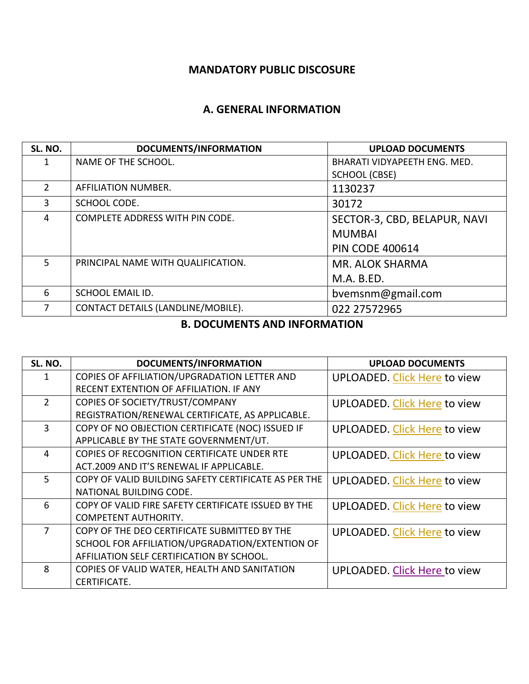### **MANDATORY PUBLIC DISCOSURE**

#### **A. GENERAL INFORMATION**

| SL. NO.        | DOCUMENTS/INFORMATION              | <b>UPLOAD DOCUMENTS</b>      |
|----------------|------------------------------------|------------------------------|
|                | NAME OF THE SCHOOL.                | BHARATI VIDYAPEETH ENG. MED. |
|                |                                    | SCHOOL (CBSE)                |
| $\overline{2}$ | AFFILIATION NUMBER.                | 1130237                      |
| 3              | SCHOOL CODE.                       | 30172                        |
| 4              | COMPLETE ADDRESS WITH PIN CODE.    | SECTOR-3, CBD, BELAPUR, NAVI |
|                |                                    | <b>MUMBAI</b>                |
|                |                                    | <b>PIN CODE 400614</b>       |
| 5 <sup>1</sup> | PRINCIPAL NAME WITH QUALIFICATION. | MR. ALOK SHARMA              |
|                |                                    | M.A. B.ED.                   |
| 6              | <b>SCHOOL EMAIL ID.</b>            | bvemsnm@gmail.com            |
| 7              | CONTACT DETAILS (LANDLINE/MOBILE). | 022 27572965                 |
|                |                                    |                              |

### **B. DOCUMENTS AND INFORMATION**

| SL. NO.        | DOCUMENTS/INFORMATION                                | <b>UPLOAD DOCUMENTS</b>             |
|----------------|------------------------------------------------------|-------------------------------------|
| $\mathbf{1}$   | COPIES OF AFFILIATION/UPGRADATION LETTER AND         | UPLOADED. Click Here to view        |
|                | RECENT EXTENTION OF AFFILIATION. IF ANY              |                                     |
| $\overline{2}$ | COPIES OF SOCIETY/TRUST/COMPANY                      | UPLOADED. Click Here to view        |
|                | REGISTRATION/RENEWAL CERTIFICATE, AS APPLICABLE.     |                                     |
| $\overline{3}$ | COPY OF NO OBJECTION CERTIFICATE (NOC) ISSUED IF     | UPLOADED. Click Here to view        |
|                | APPLICABLE BY THE STATE GOVERNMENT/UT.               |                                     |
| $\overline{4}$ | COPIES OF RECOGNITION CERTIFICATE UNDER RTE          | <b>UPLOADED. Click Here to view</b> |
|                | ACT.2009 AND IT'S RENEWAL IF APPLICABLE.             |                                     |
| 5 <sup>1</sup> | COPY OF VALID BUILDING SAFETY CERTIFICATE AS PER THE | UPLOADED. Click Here to view        |
|                | NATIONAL BUILDING CODE.                              |                                     |
| 6              | COPY OF VALID FIRE SAFETY CERTIFICATE ISSUED BY THE  | <b>UPLOADED. Click Here to view</b> |
|                | <b>COMPETENT AUTHORITY.</b>                          |                                     |
| $\overline{7}$ | COPY OF THE DEO CERTIFICATE SUBMITTED BY THE         | UPLOADED. Click Here to view        |
|                | SCHOOL FOR AFFILIATION/UPGRADATION/EXTENTION OF      |                                     |
|                | AFFILIATION SELF CERTIFICATION BY SCHOOL.            |                                     |
| 8              | COPIES OF VALID WATER, HEALTH AND SANITATION         | <b>UPLOADED. Click Here to view</b> |
|                | CERTIFICATE.                                         |                                     |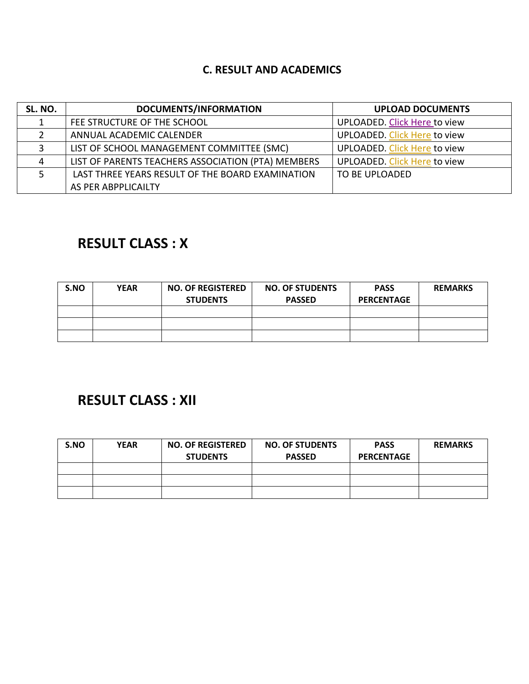### **C. RESULT AND ACADEMICS**

| SL. NO. | DOCUMENTS/INFORMATION                              | <b>UPLOAD DOCUMENTS</b>      |
|---------|----------------------------------------------------|------------------------------|
|         | FEE STRUCTURE OF THE SCHOOL                        | UPLOADED. Click Here to view |
|         | ANNUAL ACADEMIC CALENDER                           | UPLOADED. Click Here to view |
|         | LIST OF SCHOOL MANAGEMENT COMMITTEE (SMC)          | UPLOADED. Click Here to view |
| 4       | LIST OF PARENTS TEACHERS ASSOCIATION (PTA) MEMBERS | UPLOADED. Click Here to view |
|         | LAST THREE YEARS RESULT OF THE BOARD EXAMINATION   | TO BE UPLOADED               |
|         | AS PER ABPPLICAILTY                                |                              |

# **RESULT CLASS : X**

| S.NO | <b>YEAR</b> | <b>NO. OF REGISTERED</b><br><b>STUDENTS</b> | <b>NO. OF STUDENTS</b><br><b>PASSED</b> | <b>PASS</b><br><b>PERCENTAGE</b> | <b>REMARKS</b> |
|------|-------------|---------------------------------------------|-----------------------------------------|----------------------------------|----------------|
|      |             |                                             |                                         |                                  |                |
|      |             |                                             |                                         |                                  |                |
|      |             |                                             |                                         |                                  |                |

# **RESULT CLASS : XII**

| S.NO | <b>YEAR</b> | <b>NO. OF REGISTERED</b><br><b>STUDENTS</b> | <b>NO. OF STUDENTS</b><br><b>PASSED</b> | <b>PASS</b><br><b>PERCENTAGE</b> | <b>REMARKS</b> |
|------|-------------|---------------------------------------------|-----------------------------------------|----------------------------------|----------------|
|      |             |                                             |                                         |                                  |                |
|      |             |                                             |                                         |                                  |                |
|      |             |                                             |                                         |                                  |                |